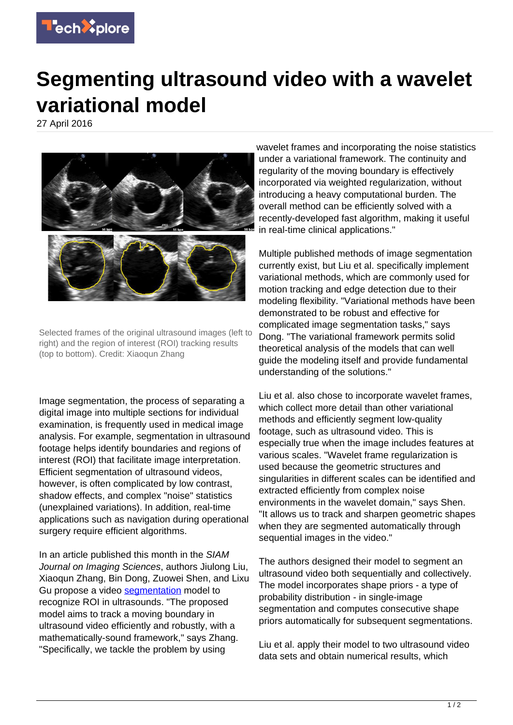

## **Segmenting ultrasound video with a wavelet variational model**

27 April 2016



Selected frames of the original ultrasound images (left to right) and the region of interest (ROI) tracking results (top to bottom). Credit: Xiaoqun Zhang

Image segmentation, the process of separating a digital image into multiple sections for individual examination, is frequently used in medical image analysis. For example, segmentation in ultrasound footage helps identify boundaries and regions of interest (ROI) that facilitate image interpretation. Efficient segmentation of ultrasound videos, however, is often complicated by low contrast, shadow effects, and complex "noise" statistics (unexplained variations). In addition, real-time applications such as navigation during operational surgery require efficient algorithms.

In an article published this month in the SIAM Journal on Imaging Sciences, authors Jiulong Liu, Xiaoqun Zhang, Bin Dong, Zuowei Shen, and Lixu Gu propose a video [segmentation](https://techxplore.com/tags/segmentation/) model to recognize ROI in ultrasounds. "The proposed model aims to track a moving boundary in ultrasound video efficiently and robustly, with a mathematically-sound framework," says Zhang. "Specifically, we tackle the problem by using

wavelet frames and incorporating the noise statistics under a variational framework. The continuity and regularity of the moving boundary is effectively incorporated via weighted regularization, without introducing a heavy computational burden. The overall method can be efficiently solved with a recently-developed fast algorithm, making it useful in real-time clinical applications."

Multiple published methods of image segmentation currently exist, but Liu et al. specifically implement variational methods, which are commonly used for motion tracking and edge detection due to their modeling flexibility. "Variational methods have been demonstrated to be robust and effective for complicated image segmentation tasks," says Dong. "The variational framework permits solid theoretical analysis of the models that can well guide the modeling itself and provide fundamental understanding of the solutions."

Liu et al. also chose to incorporate wavelet frames, which collect more detail than other variational methods and efficiently segment low-quality footage, such as ultrasound video. This is especially true when the image includes features at various scales. "Wavelet frame regularization is used because the geometric structures and singularities in different scales can be identified and extracted efficiently from complex noise environments in the wavelet domain," says Shen. "It allows us to track and sharpen geometric shapes when they are segmented automatically through sequential images in the video."

The authors designed their model to segment an ultrasound video both sequentially and collectively. The model incorporates shape priors - a type of probability distribution - in single-image segmentation and computes consecutive shape priors automatically for subsequent segmentations.

Liu et al. apply their model to two ultrasound video data sets and obtain numerical results, which